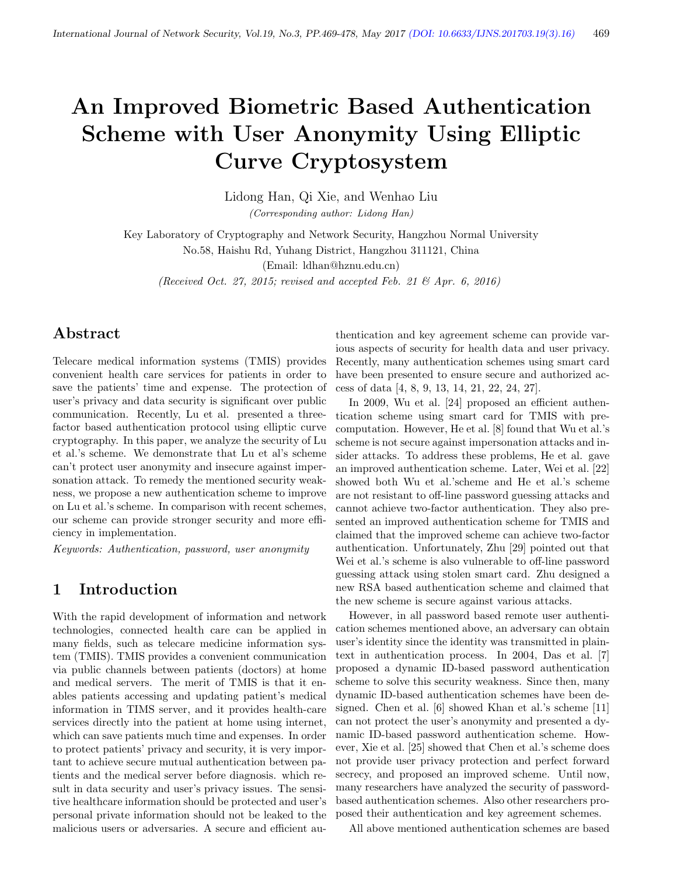# An Improved Biometric Based Authentication Scheme with User Anonymity Using Elliptic Curve Cryptosystem

Lidong Han, Qi Xie, and Wenhao Liu (Corresponding author: Lidong Han)

Key Laboratory of Cryptography and Network Security, Hangzhou Normal University No.58, Haishu Rd, Yuhang District, Hangzhou 311121, China

(Email: ldhan@hznu.edu.cn)

(Received Oct. 27, 2015; revised and accepted Feb. 21  $\mathcal{B}$  Apr. 6, 2016)

# Abstract

Telecare medical information systems (TMIS) provides convenient health care services for patients in order to save the patients' time and expense. The protection of user's privacy and data security is significant over public communication. Recently, Lu et al. presented a threefactor based authentication protocol using elliptic curve cryptography. In this paper, we analyze the security of Lu et al.'s scheme. We demonstrate that Lu et al's scheme can't protect user anonymity and insecure against impersonation attack. To remedy the mentioned security weakness, we propose a new authentication scheme to improve on Lu et al.'s scheme. In comparison with recent schemes, our scheme can provide stronger security and more efficiency in implementation.

Keywords: Authentication, password, user anonymity

# 1 Introduction

With the rapid development of information and network technologies, connected health care can be applied in many fields, such as telecare medicine information system (TMIS). TMIS provides a convenient communication via public channels between patients (doctors) at home and medical servers. The merit of TMIS is that it enables patients accessing and updating patient's medical information in TIMS server, and it provides health-care services directly into the patient at home using internet, which can save patients much time and expenses. In order to protect patients' privacy and security, it is very important to achieve secure mutual authentication between patients and the medical server before diagnosis. which result in data security and user's privacy issues. The sensitive healthcare information should be protected and user's personal private information should not be leaked to the malicious users or adversaries. A secure and efficient authentication and key agreement scheme can provide various aspects of security for health data and user privacy. Recently, many authentication schemes using smart card have been presented to ensure secure and authorized access of data [4, 8, 9, 13, 14, 21, 22, 24, 27].

In 2009, Wu et al. [24] proposed an efficient authentication scheme using smart card for TMIS with precomputation. However, He et al. [8] found that Wu et al.'s scheme is not secure against impersonation attacks and insider attacks. To address these problems, He et al. gave an improved authentication scheme. Later, Wei et al. [22] showed both Wu et al.'scheme and He et al.'s scheme are not resistant to off-line password guessing attacks and cannot achieve two-factor authentication. They also presented an improved authentication scheme for TMIS and claimed that the improved scheme can achieve two-factor authentication. Unfortunately, Zhu [29] pointed out that Wei et al.'s scheme is also vulnerable to off-line password guessing attack using stolen smart card. Zhu designed a new RSA based authentication scheme and claimed that the new scheme is secure against various attacks.

However, in all password based remote user authentication schemes mentioned above, an adversary can obtain user's identity since the identity was transmitted in plaintext in authentication process. In 2004, Das et al. [7] proposed a dynamic ID-based password authentication scheme to solve this security weakness. Since then, many dynamic ID-based authentication schemes have been designed. Chen et al. [6] showed Khan et al.'s scheme [11] can not protect the user's anonymity and presented a dynamic ID-based password authentication scheme. However, Xie et al. [25] showed that Chen et al.'s scheme does not provide user privacy protection and perfect forward secrecy, and proposed an improved scheme. Until now, many researchers have analyzed the security of passwordbased authentication schemes. Also other researchers proposed their authentication and key agreement schemes.

All above mentioned authentication schemes are based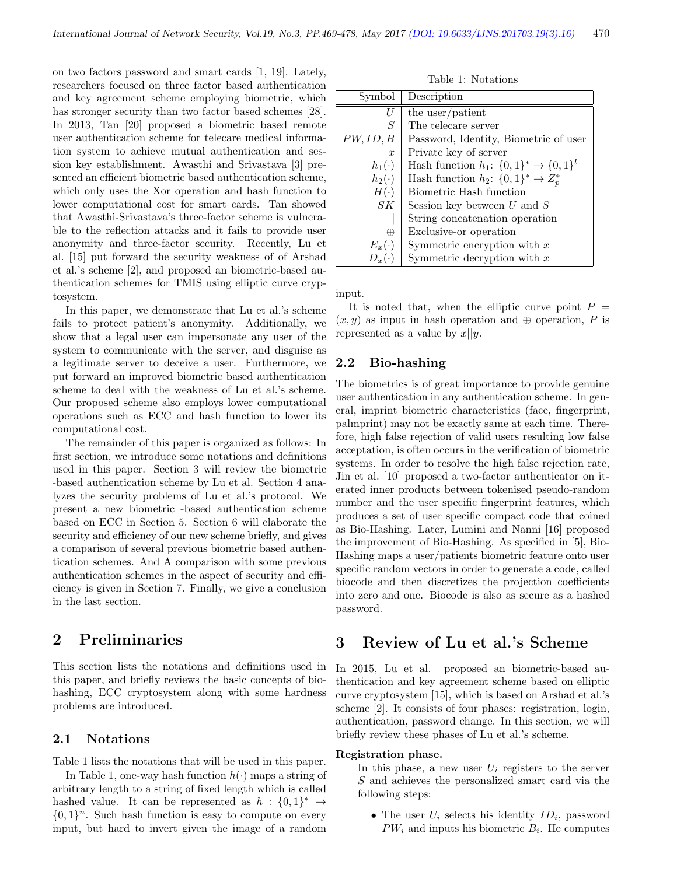on two factors password and smart cards [1, 19]. Lately, researchers focused on three factor based authentication and key agreement scheme employing biometric, which has stronger security than two factor based schemes [28]. In 2013, Tan [20] proposed a biometric based remote user authentication scheme for telecare medical information system to achieve mutual authentication and session key establishment. Awasthi and Srivastava [3] presented an efficient biometric based authentication scheme, which only uses the Xor operation and hash function to lower computational cost for smart cards. Tan showed that Awasthi-Srivastava's three-factor scheme is vulnerable to the reflection attacks and it fails to provide user anonymity and three-factor security. Recently, Lu et al. [15] put forward the security weakness of of Arshad et al.'s scheme [2], and proposed an biometric-based authentication schemes for TMIS using elliptic curve cryptosystem.

In this paper, we demonstrate that Lu et al.'s scheme fails to protect patient's anonymity. Additionally, we show that a legal user can impersonate any user of the system to communicate with the server, and disguise as a legitimate server to deceive a user. Furthermore, we put forward an improved biometric based authentication scheme to deal with the weakness of Lu et al.'s scheme. Our proposed scheme also employs lower computational operations such as ECC and hash function to lower its computational cost.

The remainder of this paper is organized as follows: In first section, we introduce some notations and definitions used in this paper. Section 3 will review the biometric -based authentication scheme by Lu et al. Section 4 analyzes the security problems of Lu et al.'s protocol. We present a new biometric -based authentication scheme based on ECC in Section 5. Section 6 will elaborate the security and efficiency of our new scheme briefly, and gives a comparison of several previous biometric based authentication schemes. And A comparison with some previous authentication schemes in the aspect of security and efficiency is given in Section 7. Finally, we give a conclusion in the last section.

# 2 Preliminaries

This section lists the notations and definitions used in this paper, and briefly reviews the basic concepts of biohashing, ECC cryptosystem along with some hardness problems are introduced.

#### 2.1 Notations

Table 1 lists the notations that will be used in this paper.

In Table 1, one-way hash function  $h(\cdot)$  maps a string of arbitrary length to a string of fixed length which is called hashed value. It can be represented as  $h: \{0,1\}^* \rightarrow$  $\{0,1\}^n$ . Such hash function is easy to compute on every input, but hard to invert given the image of a random

Table 1: Notations

| Symbol           | Description                                  |
|------------------|----------------------------------------------|
| T)               | the user/patient                             |
| S                | The telecare server                          |
| PW,ID, B         | Password, Identity, Biometric of user        |
| $\boldsymbol{x}$ | Private key of server                        |
| $h_1(\cdot)$     | Hash function $h_1: \{0,1\}^* \to \{0,1\}^l$ |
| $h_2(\cdot)$     | Hash function $h_2$ : $\{0,1\}^* \to Z_n^*$  |
| $H(\cdot)$       | Biometric Hash function                      |
| SK               | Session key between $U$ and $S$              |
|                  | String concatenation operation               |
| $\oplus$         | Exclusive-or operation                       |
| $E_x(\cdot)$     | Symmetric encryption with $x$                |
| $D_x(\cdot)$     | Symmetric decryption with $x$                |

input.

It is noted that, when the elliptic curve point  $P =$  $(x, y)$  as input in hash operation and  $oplus$  operation, P is represented as a value by  $x||y$ .

#### 2.2 Bio-hashing

The biometrics is of great importance to provide genuine user authentication in any authentication scheme. In general, imprint biometric characteristics (face, fingerprint, palmprint) may not be exactly same at each time. Therefore, high false rejection of valid users resulting low false acceptation, is often occurs in the verification of biometric systems. In order to resolve the high false rejection rate, Jin et al. [10] proposed a two-factor authenticator on iterated inner products between tokenised pseudo-random number and the user specific fingerprint features, which produces a set of user specific compact code that coined as Bio-Hashing. Later, Lumini and Nanni [16] proposed the improvement of Bio-Hashing. As specified in [5], Bio-Hashing maps a user/patients biometric feature onto user specific random vectors in order to generate a code, called biocode and then discretizes the projection coefficients into zero and one. Biocode is also as secure as a hashed password.

# 3 Review of Lu et al.'s Scheme

In 2015, Lu et al. proposed an biometric-based authentication and key agreement scheme based on elliptic curve cryptosystem [15], which is based on Arshad et al.'s scheme [2]. It consists of four phases: registration, login, authentication, password change. In this section, we will briefly review these phases of Lu et al.'s scheme.

#### Registration phase.

In this phase, a new user  $U_i$  registers to the server S and achieves the personalized smart card via the following steps:

• The user  $U_i$  selects his identity  $ID_i$ , password  $PW_i$  and inputs his biometric  $B_i$ . He computes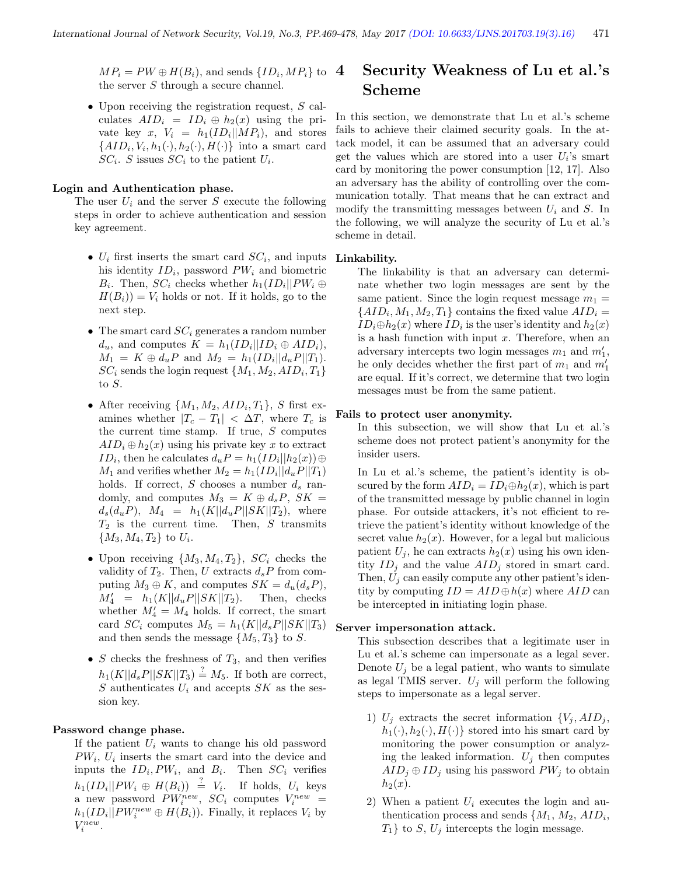$MP_i = PW \oplus H(B_i)$ , and sends  $\{ID_i, MP_i\}$  to the server S through a secure channel.

• Upon receiving the registration request,  $S$  calculates  $AID_i = ID_i \oplus h_2(x)$  using the private key  $x, V_i = h_1(ID_i || MP_i),$  and stores  $\{AID_i, V_i, h_1(\cdot), h_2(\cdot), H(\cdot)\}\$ into a smart card  $SC_i$ . S issues  $SC_i$  to the patient  $U_i$ .

#### Login and Authentication phase.

The user  $U_i$  and the server S execute the following steps in order to achieve authentication and session key agreement.

- $U_i$  first inserts the smart card  $SC_i$ , and inputs his identity  $ID_i$ , password  $PW_i$  and biometric  $B_i$ . Then,  $SC_i$  checks whether  $h_1(ID_i || PW_i \oplus$  $H(B_i) = V_i$  holds or not. If it holds, go to the next step.
- The smart card  $SC_i$  generates a random number  $d_u$ , and computes  $K = h_1(ID_i || ID_i \oplus AID_i),$  $M_1 = K \oplus d_u P$  and  $M_2 = h_1(ID_i||d_u P||T_1)$ .  $SC_i$  sends the login request  $\{M_1, M_2, AID_i, T_1\}$ to  $S$ .
- After receiving  $\{M_1, M_2, AID_i, T_1\}$ , S first examines whether  $|T_c - T_1| < \Delta T$ , where  $T_c$  is the current time stamp. If true,  $S$  computes  $AID_i \oplus h_2(x)$  using his private key x to extract ID<sub>i</sub>, then he calculates  $d_u P = h_1(ID_i || h_2(x)) \oplus$  $M_1$  and verifies whether  $M_2 = h_1(ID_i || d_u P || T_1)$ holds. If correct,  $S$  chooses a number  $d_s$  randomly, and computes  $M_3 = K \oplus d_s P$ ,  $SK =$  $d_s(d_uP), M_4 = h_1(K||d_uP||SK||T_2),$  where  $T_2$  is the current time. Then, S transmits  ${M_3, M_4, T_2}$  to  $U_i$ .
- Upon receiving  $\{M_3, M_4, T_2\}$ ,  $SC_i$  checks the validity of  $T_2$ . Then, U extracts  $d_s P$  from computing  $M_3 \oplus K$ , and computes  $SK = d_u(d_sP)$ ,  $M'_4 = h_1(K||d_uP||SK||T_2)$ . Then, checks whether  $M_4 = M_4$  holds. If correct, the smart card  $SC_i$  computes  $M_5 = h_1(K||d_sP||SK||T_3)$ and then sends the message  $\{M_5, T_3\}$  to S.
- $S$  checks the freshness of  $T_3$ , and then verifies  $h_1(K||d_s P||SK||T_3) \stackrel{?}{=} M_5$ . If both are correct, S authenticates  $U_i$  and accepts SK as the session key.

#### Password change phase.

If the patient  $U_i$  wants to change his old password  $PW_i$ ,  $U_i$  inserts the smart card into the device and inputs the  $ID_i, PW_i$ , and  $B_i$ . Then  $SC_i$  verifies  $h_1(ID_i || PW_i \oplus H(B_i)) \stackrel{?}{=} V_i$ . If holds,  $U_i$  keys a new password  $PW_i^{new}$ ,  $SC_i$  computes  $V_i^{new}$  =  $h_1(ID_i || PW_i^{new} \oplus H(B_i))$ . Finally, it replaces  $V_i$  by  $V_i^{new}.$ 

# Security Weakness of Lu et al.'s Scheme

In this section, we demonstrate that Lu et al.'s scheme fails to achieve their claimed security goals. In the attack model, it can be assumed that an adversary could get the values which are stored into a user  $U_i$ 's smart card by monitoring the power consumption [12, 17]. Also an adversary has the ability of controlling over the communication totally. That means that he can extract and modify the transmitting messages between  $U_i$  and S. In the following, we will analyze the security of Lu et al.'s scheme in detail.

#### Linkability.

The linkability is that an adversary can determinate whether two login messages are sent by the same patient. Since the login request message  $m_1 =$  $\{AID_i, M_1, M_2, T_1\}$  contains the fixed value  $AID_i =$  $ID_i \oplus h_2(x)$  where  $ID_i$  is the user's identity and  $h_2(x)$ is a hash function with input  $x$ . Therefore, when an adversary intercepts two login messages  $m_1$  and  $m'_1$ , he only decides whether the first part of  $m_1$  and  $m_1'$ are equal. If it's correct, we determine that two login messages must be from the same patient.

#### Fails to protect user anonymity.

In this subsection, we will show that Lu et al.'s scheme does not protect patient's anonymity for the insider users.

In Lu et al.'s scheme, the patient's identity is obscured by the form  $AID_i = ID_i \oplus h_2(x)$ , which is part of the transmitted message by public channel in login phase. For outside attackers, it's not efficient to retrieve the patient's identity without knowledge of the secret value  $h_2(x)$ . However, for a legal but malicious patient  $U_j$ , he can extracts  $h_2(x)$  using his own identity  $ID_j$  and the value  $AID_j$  stored in smart card. Then,  $U_i$  can easily compute any other patient's identity by computing  $ID = AID \oplus h(x)$  where  $AID$  can be intercepted in initiating login phase.

#### Server impersonation attack.

This subsection describes that a legitimate user in Lu et al.'s scheme can impersonate as a legal sever. Denote  $U_i$  be a legal patient, who wants to simulate as legal TMIS server.  $U_i$  will perform the following steps to impersonate as a legal server.

- 1)  $U_j$  extracts the secret information  $\{V_j, AID_j,$  $h_1(\cdot), h_2(\cdot), H(\cdot)$  stored into his smart card by monitoring the power consumption or analyzing the leaked information.  $U_j$  then computes  $AID_j \oplus ID_j$  using his password  $PW_j$  to obtain  $h_2(x)$ .
- 2) When a patient  $U_i$  executes the login and authentication process and sends  $\{M_1, M_2, AID_i, \}$  $T_1$ } to S,  $U_j$  intercepts the login message.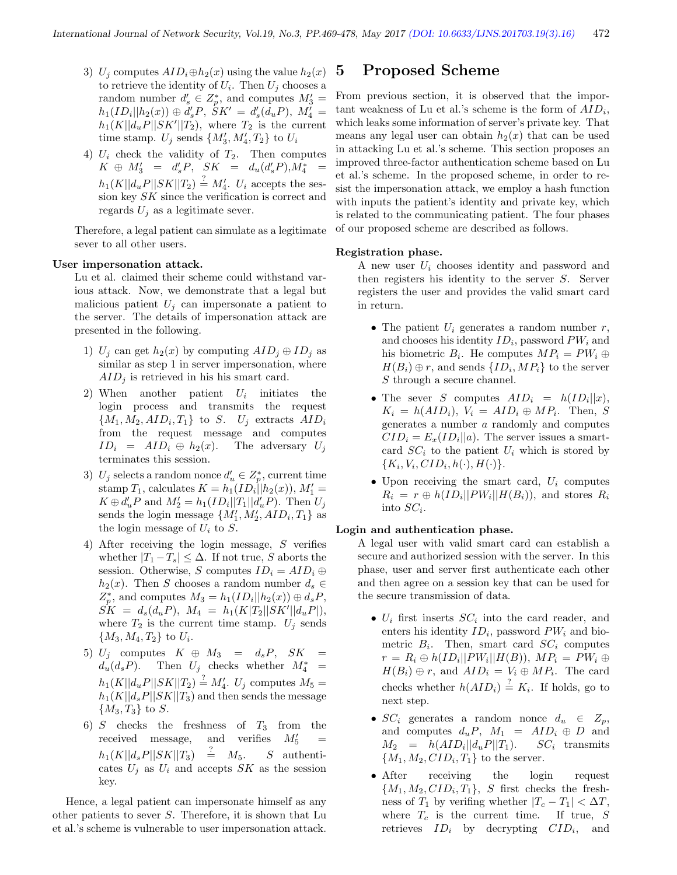- 3)  $U_j$  computes  $AID_i \oplus h_2(x)$  using the value  $h_2(x)$ to retrieve the identity of  $U_i$ . Then  $U_j$  chooses a random number  $d'_{s} \in Z_p^*$ , and computes  $M'_3 =$  $h_1(ID_i || h_2(x)) \oplus d_s' P$ ,  $\dot{S}K' = d_s'(d_u P)$ ,  $M_4' =$  $h_1(K||d_uP||SK'||T_2)$ , where  $T_2$  is the current time stamp.  $U_j$  sends  $\{M'_3, M'_4, T_2\}$  to  $U_i$
- 4)  $U_i$  check the validity of  $T_2$ . Then computes  $K \oplus M'_{3} = d'_{s}P, \quad SK = d_{u}(d'_{s}P), M_{4}^{*} =$  $h_1(K||d_uP||SK||T_2) \stackrel{?}{=} M'_4$ .  $U_i$  accepts the session key SK since the verification is correct and regards  $U_j$  as a legitimate sever.

Therefore, a legal patient can simulate as a legitimate sever to all other users.

#### User impersonation attack.

Lu et al. claimed their scheme could withstand various attack. Now, we demonstrate that a legal but malicious patient  $U_j$  can impersonate a patient to the server. The details of impersonation attack are presented in the following.

- 1)  $U_j$  can get  $h_2(x)$  by computing  $AID_j \oplus ID_j$  as similar as step 1 in server impersonation, where  $AID<sub>i</sub>$  is retrieved in his his smart card.
- 2) When another patient  $U_i$  initiates the login process and transmits the request  ${M_1, M_2, AID_i, T_1}$  to S.  $U_j$  extracts  $AID_i$ from the request message and computes  $ID_i = AID_i \oplus h_2(x)$ . The adversary  $U_j$ terminates this session.
- 3)  $U_j$  selects a random nonce  $d'_u \in Z_p^*$ , current time stamp  $T_1$ , calculates  $K = h_1(ID_i||h_2(x)), M'_1 =$  $K \oplus d'_u P$  and  $M'_2 = h_1(ID_i || T_1 || d'_u P)$ . Then  $U_j$ sends the login message  $\{M'_1, M'_2, AID_i, T_1\}$  as the login message of  $U_i$  to  $S$ .
- 4) After receiving the login message, S verifies whether  $|T_1-T_s| \leq \Delta$ . If not true, S aborts the session. Otherwise, S computes  $ID_i = AID_i \oplus$  $h_2(x)$ . Then S chooses a random number  $d_s \in$  $Z_p^*$ , and computes  $M_3 = h_1(ID_i || h_2(x)) \oplus d_s P$ ,  $\dot{SK} \; = \; d_s(d_uP), \; M_4 \; = \; h_1(K|T_2||SK'||d_uP|),$ where  $T_2$  is the current time stamp.  $U_j$  sends  ${M_3, M_4, T_2}$  to  $U_i$ .
- 5)  $U_j$  computes  $K \oplus M_3 = d_s P$ ,  $SK =$  $d_u(d_sP)$ . Then  $U_j$  checks whether  $M_4^*$  =  $h_1(K||d_uP||SK||T_2) \stackrel{?}{=} M'_4$ .  $U_j$  computes  $M_5 =$  $h_1(K||d_sP||SK||T_3)$  and then sends the message  ${M_3, T_3}$  to S.
- 6) S checks the freshness of  $T_3$  from the received message, and verifies  $M'_5$  =  $h_1(K||d_sP||SK||T_3) = M_5.$  $S$  authenticates  $U_i$  as  $U_i$  and accepts SK as the session key.

Hence, a legal patient can impersonate himself as any other patients to sever S. Therefore, it is shown that Lu et al.'s scheme is vulnerable to user impersonation attack.

### 5 Proposed Scheme

From previous section, it is observed that the important weakness of Lu et al.'s scheme is the form of  $AID_i$ , which leaks some information of server's private key. That means any legal user can obtain  $h_2(x)$  that can be used in attacking Lu et al.'s scheme. This section proposes an improved three-factor authentication scheme based on Lu et al.'s scheme. In the proposed scheme, in order to resist the impersonation attack, we employ a hash function with inputs the patient's identity and private key, which is related to the communicating patient. The four phases of our proposed scheme are described as follows.

#### Registration phase.

A new user  $U_i$  chooses identity and password and then registers his identity to the server S. Server registers the user and provides the valid smart card in return.

- The patient  $U_i$  generates a random number  $r$ , and chooses his identity  $ID_i$ , password  $PW_i$  and his biometric  $B_i$ . He computes  $MP_i = PW_i \oplus$  $H(B_i) \oplus r$ , and sends  $\{ID_i, MP_i\}$  to the server S through a secure channel.
- The sever S computes  $AID_i = h(ID_i || x),$  $K_i = h(AID_i), V_i = AID_i \oplus MP_i.$  Then, S generates a number a randomly and computes  $CID_i = E_x(ID_i || a)$ . The server issues a smartcard  $SC_i$  to the patient  $U_i$  which is stored by  ${K_i, V_i, CID_i, h(\cdot), H(\cdot)}.$
- Upon receiving the smart card,  $U_i$  computes  $R_i = r \oplus h(ID_i || PW_i || H(B_i))$ , and stores  $R_i$ into  $SC_i$ .

#### Login and authentication phase.

A legal user with valid smart card can establish a secure and authorized session with the server. In this phase, user and server first authenticate each other and then agree on a session key that can be used for the secure transmission of data.

- $U_i$  first inserts  $SC_i$  into the card reader, and enters his identity  $ID_i$ , password  $PW_i$  and biometric  $B_i$ . Then, smart card  $SC_i$  computes  $r = R_i \oplus h(ID_i || PW_i || H(B)), MP_i = PW_i \oplus$  $H(B_i) \oplus r$ , and  $AID_i = V_i \oplus MP_i$ . The card checks whether  $h(AID_i) \stackrel{?}{=} K_i$ . If holds, go to next step.
- $SC_i$  generates a random nonce  $d_u \in Z_p$ , and computes  $d_uP$ ,  $M_1 = AID_i \oplus D$  and  $M_2 = h( AID_i || d_u P || T_1).$  $SC_i$  transmits  ${M_1, M_2, CID_i, T_1}$  to the server.
- After receiving the login request  ${M_1, M_2, CID_i, T_1}, S$  first checks the freshness of  $T_1$  by verifing whether  $|T_c - T_1| < \Delta T$ , where  $T_c$  is the current time. If true,  $S$ retrieves  $ID_i$  by decrypting  $CID_i$ , and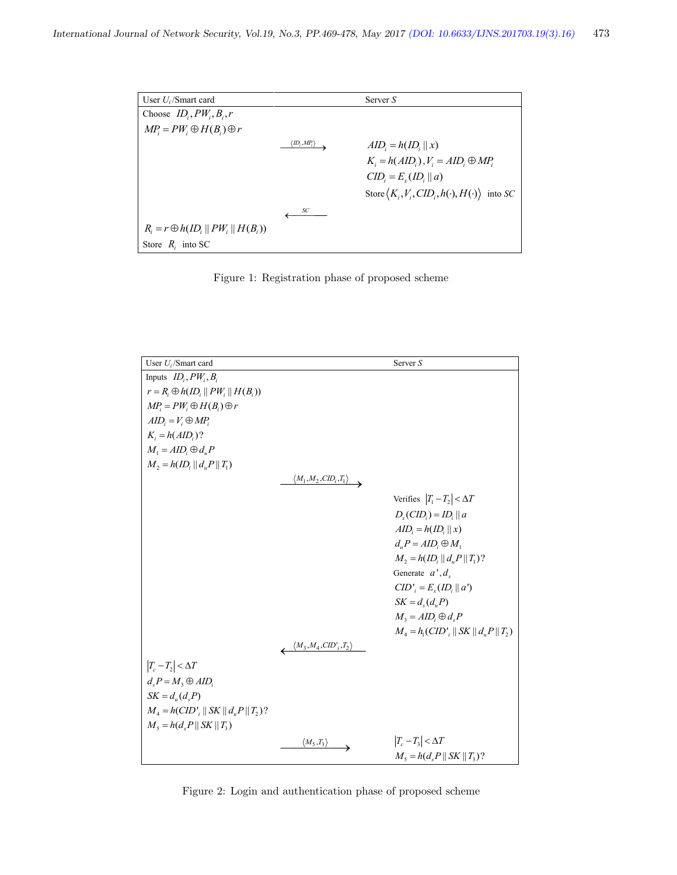| User $U_i$ /Smart card                     |                                                      | Server $S$                                                          |
|--------------------------------------------|------------------------------------------------------|---------------------------------------------------------------------|
| Choose $ID_i, PW_i, B_i, r$                |                                                      |                                                                     |
| $MP_i = PW_i \oplus H(B_i) \oplus r$       |                                                      |                                                                     |
|                                            | $\langle$ ID <sub>i</sub> ,MP <sub>i</sub> $\rangle$ | $AID_i = h(ID_i    x)$                                              |
|                                            |                                                      | $K_i = h(AID_i)$ , $V_i = AID_i \oplus MP_i$                        |
|                                            |                                                      | $CID_i = E_x(ID_i    a)$                                            |
|                                            |                                                      | Store $\langle K_i, V_i, CID_i, h(\cdot), H(\cdot) \rangle$ into SC |
|                                            | SС                                                   |                                                                     |
| $R_i = r \oplus h(ID_i    PW_i    H(B_i))$ |                                                      |                                                                     |
| Store $R_i$ into SC                        |                                                      |                                                                     |

Figure 1: Registration phase of proposed scheme

| User $U_i$ /Smart card                           |                                             | Server S                                   |
|--------------------------------------------------|---------------------------------------------|--------------------------------------------|
| Inputs $ID_i, PW_i, B_i$                         |                                             |                                            |
| $r = R_i \oplus h(ID_i    PW_i    H(B_i))$       |                                             |                                            |
| $MP_i = PW_i \oplus H(B_i) \oplus r$             |                                             |                                            |
| $AID_i = V_i \oplus MP_i$                        |                                             |                                            |
| $K_i = h(AlD_i)$ ?                               |                                             |                                            |
| $M_1 = AID_i \oplus d_n P$                       |                                             |                                            |
| $M_2 = h(ID_i    d_n P    T_1)$                  |                                             |                                            |
|                                                  | $\langle M_1,M_2,CD_i,T_1 \rangle$          |                                            |
|                                                  |                                             | Verifies $ T_1 - T_2  < \Delta T$          |
|                                                  |                                             |                                            |
|                                                  |                                             | $D_r(CID_i) = ID_i    a$                   |
|                                                  |                                             | $AID_i = h(ID_i    x)$                     |
|                                                  |                                             | $d_{u}P = AID_{i} \oplus M_{1}$            |
|                                                  |                                             | $M_2 = h(ID,    d, P    T_1)$ ?            |
|                                                  |                                             | Generate $a^{\dagger}, d_{s}$              |
|                                                  |                                             | $CID'$ <sub>i</sub> = $E_x(ID_i    a')$    |
|                                                  |                                             | $SK = d_{s}(d_{u}P)$                       |
|                                                  |                                             | $M_3 = AID_i \oplus d_s P$                 |
|                                                  |                                             | $M_4 = h_1(CID'$ , $   SK    d_2 P    T_2$ |
|                                                  | $\left\langle M_3,M_4,CD',T_2\right\rangle$ |                                            |
|                                                  |                                             |                                            |
| $ T_c-T_2  < \Delta T$                           |                                             |                                            |
| $d_{s}P = M_{3} \oplus AID_{i}$                  |                                             |                                            |
| $SK = d_u(d, P)$                                 |                                             |                                            |
| $M_4 = h(CID'_{i}    SK    d_uP    T_2)$ ?       |                                             |                                            |
| $M_{5} = h(d_{5}P \parallel SK \parallel T_{3})$ |                                             |                                            |
|                                                  | $\langle M_5,T_3\rangle$                    | $ T_c-T_3  < \Delta T$                     |
|                                                  |                                             | $M_5 = h(d_5 P    SK    T_3)$ ?            |

Figure 2: Login and authentication phase of proposed scheme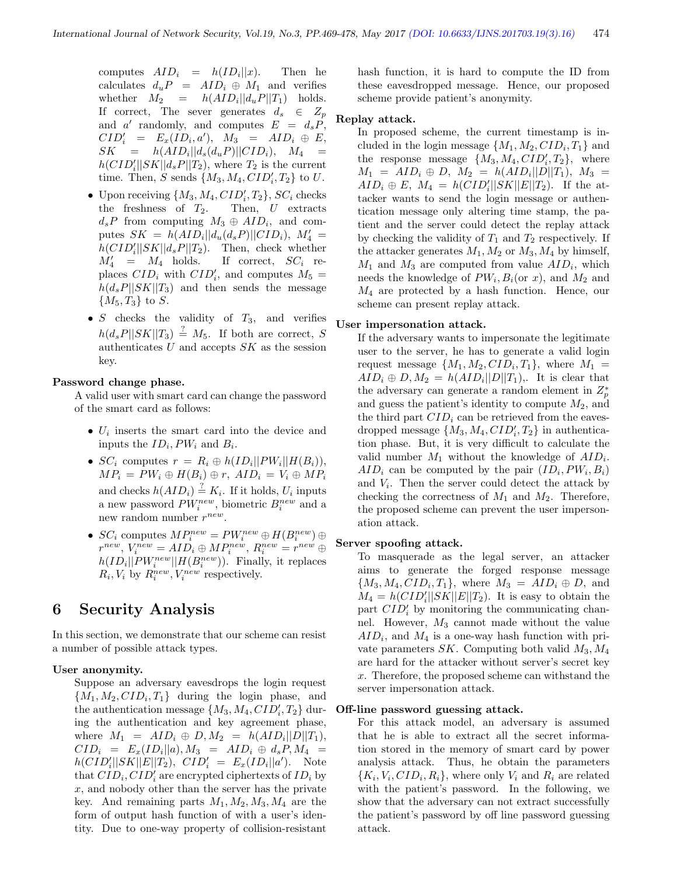computes  $AID_i = h(ID_i||x)$ . Then he calculates  $d_uP = AID_i \oplus M_1$  and verifies whether  $M_2 = h( AID_i || d_u P || T_1)$  holds. If correct, The sever generates  $d_s \in Z_p$ and a' randomly, and computes  $E = d_s \overline{P}$ ,  $CID'_i = E_x(ID_i, a'), M_3 = AID_i \oplus E,$  $SK = h( AID_i || d_s(d_u P) || CID_i), M_4 =$  $h(CID'_{i}||SK||d_{s}P||T_{2}),$  where  $T_{2}$  is the current time. Then, S sends  $\{M_3, M_4, CID'_i, T_2\}$  to U.

- Upon receiving  $\{M_3, M_4, CID'_i, T_2\}$ ,  $SC_i$  checks the freshness of  $T_2$ . Then,  $U$  extracts  $d_s P$  from computing  $M_3 \oplus AID_i$ , and computes  $SK = h(ALD_i||d_u(d_sP)||CID_i)$ ,  $M'_4 =$  $h(CID'_{i}||SK||d_{s}P||T_{2}).$  Then, check whether  $M'_4$  =  $M_4$  holds. If correct,  $SC_i$  replaces  $CID_i$  with  $CID'_i$ , and computes  $M_5 =$  $h(d_sP||SK||T_3)$  and then sends the message  ${M_5, T_3}$  to S.
- $S$  checks the validity of  $T_3$ , and verifies  $h(d_s P||SK||T_3) \stackrel{?}{=} M_5$ . If both are correct, S authenticates  $U$  and accepts  $SK$  as the session key.

#### Password change phase.

A valid user with smart card can change the password of the smart card as follows:

- $U_i$  inserts the smart card into the device and inputs the  $ID_i, PW_i$  and  $B_i$ .
- $SC_i$  computes  $r = R_i \oplus h(ID_i || PW_i || H(B_i)),$  $MP_i = PW_i \oplus H(B_i) \oplus r$ ,  $AID_i = V_i \oplus MP_i$ and checks  $h(ALD_i) \stackrel{?}{=} K_i$ . If it holds,  $U_i$  inputs a new password  $PW_i^{new}$ , biometric  $B_i^{new}$  and a new random number  $r^{new}$ .
- $SC_i$  computes  $MP_i^{new} = PW_i^{new} \oplus H(B_i^{new}) \oplus$  $r^{new}$ ,  $V_i^{new} = AID_i \oplus MP_i^{new}$ ,  $R_i^{new} = r^{new} \oplus$  $h(ID_i || PW_i^{new} || H(B_i^{new})$ ). Finally, it replaces  $R_i, V_i$  by  $R_i^{new}, V_i^{new}$  respectively.

# 6 Security Analysis

In this section, we demonstrate that our scheme can resist a number of possible attack types.

#### User anonymity.

Suppose an adversary eavesdrops the login request  ${M_1, M_2, CID_i, T_1}$  during the login phase, and the authentication message  $\{M_3, M_4, CID'_i, T_2\}$  during the authentication and key agreement phase, where  $M_1 = AID_i \oplus D, M_2 = h(AID_i||D||T_1),$  $CID_i = E_x(ID_i || a), M_3 = AID_i \oplus d_sP, M_4 =$  $h(CID_i'||SK||E||T_2)$ ,  $CID_i' = E_x(ID_i||a')$ . Note that  $CID_i, CID'_i$  are encrypted ciphertexts of  $ID_i$  by  $x$ , and nobody other than the server has the private key. And remaining parts  $M_1, M_2, M_3, M_4$  are the form of output hash function of with a user's identity. Due to one-way property of collision-resistant

hash function, it is hard to compute the ID from these eavesdropped message. Hence, our proposed scheme provide patient's anonymity.

### Replay attack.

In proposed scheme, the current timestamp is included in the login message  $\{M_1, M_2, CID_i, T_1\}$  and the response message  $\{M_3, M_4, CID'_i, T_2\}$ , where  $M_1 = AID_i \oplus D, M_2 = h(AID_i||D||T_1), M_3 =$  $AID_i \oplus E$ ,  $M_4 = h(CID_i'||SK||E||T_2)$ . If the attacker wants to send the login message or authentication message only altering time stamp, the patient and the server could detect the replay attack by checking the validity of  $T_1$  and  $T_2$  respectively. If the attacker generates  $M_1, M_2$  or  $M_3, M_4$  by himself,  $M_1$  and  $M_3$  are computed from value  $AID_i$ , which needs the knowledge of  $PW_i, B_i$  (or x), and  $M_2$  and  $M_4$  are protected by a hash function. Hence, our scheme can present replay attack.

#### User impersonation attack.

If the adversary wants to impersonate the legitimate user to the server, he has to generate a valid login request message  $\{M_1, M_2, CID_i, T_1\}$ , where  $M_1$  =  $AID_i \oplus D, M_2 = h(AID_i||D||T_1),$ . It is clear that the adversary can generate a random element in  $Z_p^*$ and guess the patient's identity to compute  $M_2$ , and the third part  $CID<sub>i</sub>$  can be retrieved from the eavesdropped message  $\{M_3, M_4, CID'_i, T_2\}$  in authentication phase. But, it is very difficult to calculate the valid number  $M_1$  without the knowledge of  $AID_i$ .  $AID_i$  can be computed by the pair  $(ID_i, PW_i, B_i)$ and  $V_i$ . Then the server could detect the attack by checking the correctness of  $M_1$  and  $M_2$ . Therefore, the proposed scheme can prevent the user impersonation attack.

#### Server spoofing attack.

To masquerade as the legal server, an attacker aims to generate the forged response message  ${M_3, M_4, CID_i, T_1},$  where  $M_3 = AID_i \oplus D$ , and  $M_4 = h(CID'_i||SK||E||T_2)$ . It is easy to obtain the part  $CID'_i$  by monitoring the communicating channel. However,  $M_3$  cannot made without the value  $AID_i$ , and  $M_4$  is a one-way hash function with private parameters  $SK$ . Computing both valid  $M_3, M_4$ are hard for the attacker without server's secret key x. Therefore, the proposed scheme can withstand the server impersonation attack.

#### Off-line password guessing attack.

For this attack model, an adversary is assumed that he is able to extract all the secret information stored in the memory of smart card by power analysis attack. Thus, he obtain the parameters  ${K_i, V_i, CID_i, R_i}$ , where only  $V_i$  and  $R_i$  are related with the patient's password. In the following, we show that the adversary can not extract successfully the patient's password by off line password guessing attack.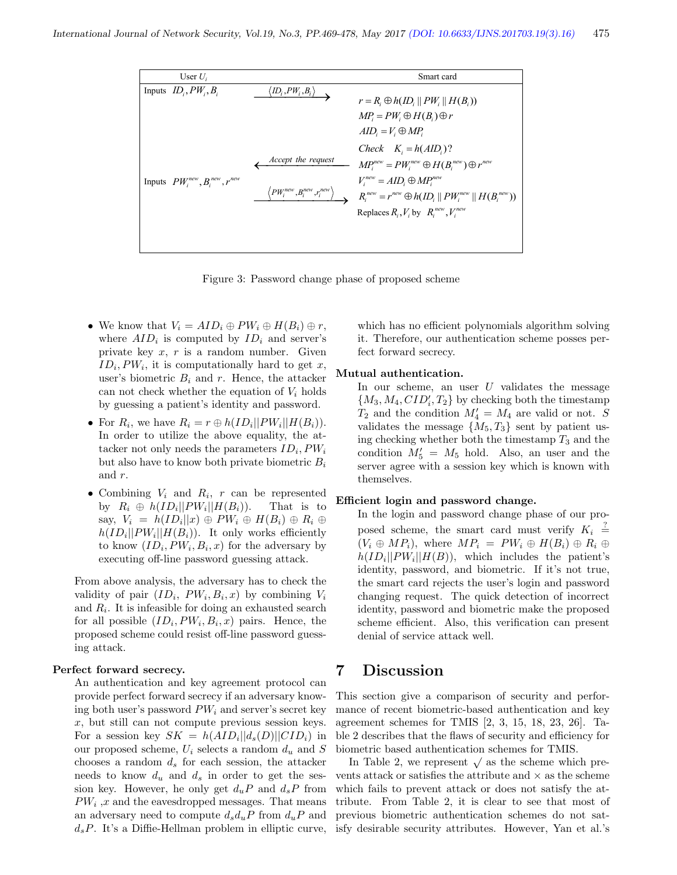| User $U_i$<br>Smart card<br>Inputs $ID_i, PW_i, B_i$<br>$\langle \mathit{ID}_i, \mathit{PW}_i, \mathit{B}_i \rangle$<br>$r = R_i \oplus h(ID_i    PW_i    H(B_i))$<br>$MP_i = PW_i \oplus H(B_i) \oplus r$<br>$AID_i = V_i \oplus MP_i$<br>Check $K_i = h(AID_i)$ ?<br>Accept the request<br>$MP_i^{new} = PW_i^{new} \oplus H(B_i^{new}) \oplus r^{new}$<br>$V_i^{new} = AID_i \oplus MP_i^{new}$<br>Inputs $PW_i^{new}, B_i^{new}, r^{new}$<br>$\left\langle PW_i^{new},\!_i^{new},\! r_i^{new} \right\rangle$<br>$R_i^{new} = r^{new} \oplus h(ID_i    PW_i^{new}    H(B_i^{new}))$<br>Replaces $R_i, V_i$ by $R_i^{new}, V_i^{new}$ |
|-----------------------------------------------------------------------------------------------------------------------------------------------------------------------------------------------------------------------------------------------------------------------------------------------------------------------------------------------------------------------------------------------------------------------------------------------------------------------------------------------------------------------------------------------------------------------------------------------------------------------------------------|
|                                                                                                                                                                                                                                                                                                                                                                                                                                                                                                                                                                                                                                         |
|                                                                                                                                                                                                                                                                                                                                                                                                                                                                                                                                                                                                                                         |

Figure 3: Password change phase of proposed scheme

- We know that  $V_i = AID_i \oplus PW_i \oplus H(B_i) \oplus r$ , where  $AID_i$  is computed by  $ID_i$  and server's private key  $x, r$  is a random number. Given  $ID_i, PW_i$ , it is computationally hard to get x, user's biometric  $B_i$  and r. Hence, the attacker can not check whether the equation of  $V_i$  holds by guessing a patient's identity and password.
- For  $R_i$ , we have  $R_i = r \oplus h(ID_i || PW_i || H(B_i)).$ In order to utilize the above equality, the attacker not only needs the parameters  $ID_i, PW_i$ but also have to know both private biometric  $B_i$ and r.
- Combining  $V_i$  and  $R_i$ ,  $r$  can be represented by  $R_i \oplus h(ID_i || PW_i || H(B_i)).$  That is to say,  $V_i = h(ID_i || x) \oplus PW_i \oplus H(B_i) \oplus R_i \oplus$  $h(ID_i || PW_i || H(B_i))$ . It only works efficiently to know  $(ID_i, PW_i, B_i, x)$  for the adversary by executing off-line password guessing attack.

From above analysis, the adversary has to check the validity of pair  $(ID_i, PW_i, B_i, x)$  by combining  $V_i$ and  $R_i$ . It is infeasible for doing an exhausted search for all possible  $(ID_i, PW_i, B_i, x)$  pairs. Hence, the proposed scheme could resist off-line password guessing attack.

#### Perfect forward secrecy.

An authentication and key agreement protocol can provide perfect forward secrecy if an adversary knowing both user's password  $PW_i$  and server's secret key  $x$ , but still can not compute previous session keys. For a session key  $SK = h(AD_i||d_s(D)||CID_i)$  in our proposed scheme,  $U_i$  selects a random  $d_u$  and S chooses a random  $d_s$  for each session, the attacker needs to know  $d_u$  and  $d_s$  in order to get the session key. However, he only get  $d_u P$  and  $d_s P$  from  $PW_i$ , x and the eavesdropped messages. That means an adversary need to compute  $d_s d_u P$  from  $d_u P$  and  $d_sP$ . It's a Diffie-Hellman problem in elliptic curve,

which has no efficient polynomials algorithm solving it. Therefore, our authentication scheme posses perfect forward secrecy.

#### Mutual authentication.

In our scheme, an user  $U$  validates the message  ${M_3, M_4, CID'_i, T_2}$  by checking both the timestamp  $T_2$  and the condition  $M_4 = M_4$  are valid or not. S validates the message  $\{M_5, T_3\}$  sent by patient using checking whether both the timestamp  $T_3$  and the condition  $M'_5 = M_5$  hold. Also, an user and the server agree with a session key which is known with themselves.

#### Efficient login and password change.

In the login and password change phase of our proposed scheme, the smart card must verify  $K_i \stackrel{?}{=}$  $(V_i \oplus MP_i)$ , where  $MP_i = PW_i \oplus H(B_i) \oplus R_i \oplus$  $h(ID_i || PW_i || H(B)),$  which includes the patient's identity, password, and biometric. If it's not true, the smart card rejects the user's login and password changing request. The quick detection of incorrect identity, password and biometric make the proposed scheme efficient. Also, this verification can present denial of service attack well.

# 7 Discussion

This section give a comparison of security and performance of recent biometric-based authentication and key agreement schemes for TMIS [2, 3, 15, 18, 23, 26]. Table 2 describes that the flaws of security and efficiency for biometric based authentication schemes for TMIS.

In Table 2, we represent  $\sqrt{ }$  as the scheme which prevents attack or satisfies the attribute and  $\times$  as the scheme which fails to prevent attack or does not satisfy the attribute. From Table 2, it is clear to see that most of previous biometric authentication schemes do not satisfy desirable security attributes. However, Yan et al.'s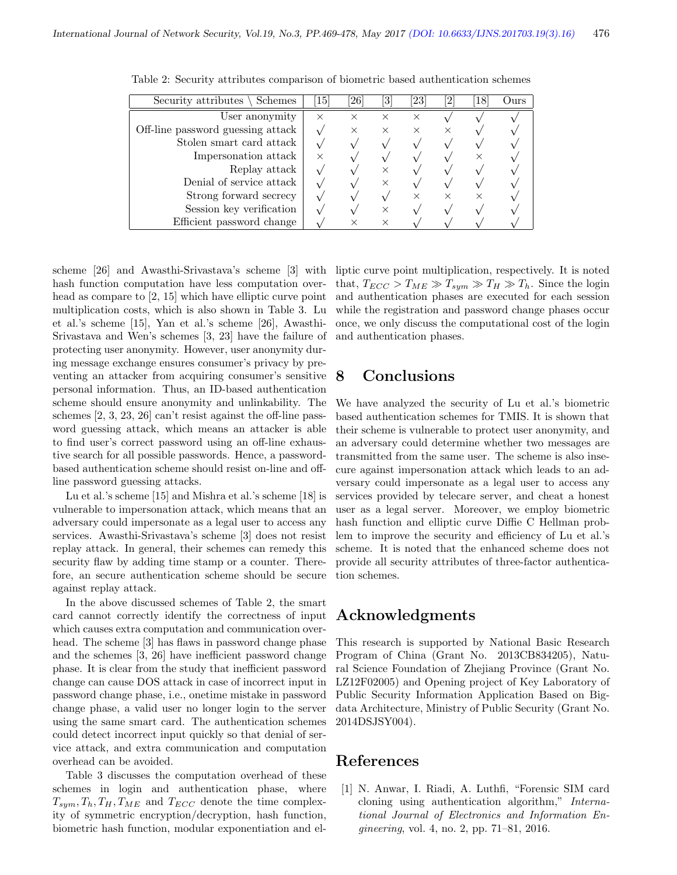| Security attributes $\setminus$ Schemes | 15       | $\left[ 26\right]$ | 3        | $\left[ 23\right]$ | $\overline{2}$ | 18 | Durs) |
|-----------------------------------------|----------|--------------------|----------|--------------------|----------------|----|-------|
| User anonymity                          | $\times$ | $\times$           |          | ×                  |                |    |       |
| Off-line password guessing attack       |          | $\times$           | $\times$ |                    |                |    |       |
| Stolen smart card attack                |          |                    |          |                    |                |    |       |
| Impersonation attack                    | $\times$ |                    |          |                    |                |    |       |
| Replay attack                           |          |                    |          |                    |                |    |       |
| Denial of service attack                |          |                    |          |                    |                |    |       |
| Strong forward secrecy                  |          |                    |          |                    |                |    |       |
| Session key verification                |          |                    |          |                    |                |    |       |
| Efficient password change               |          |                    |          |                    |                |    |       |

Table 2: Security attributes comparison of biometric based authentication schemes

scheme [26] and Awasthi-Srivastava's scheme [3] with hash function computation have less computation overhead as compare to [2, 15] which have elliptic curve point multiplication costs, which is also shown in Table 3. Lu et al.'s scheme [15], Yan et al.'s scheme [26], Awasthi-Srivastava and Wen's schemes [3, 23] have the failure of protecting user anonymity. However, user anonymity during message exchange ensures consumer's privacy by preventing an attacker from acquiring consumer's sensitive personal information. Thus, an ID-based authentication scheme should ensure anonymity and unlinkability. The schemes [2, 3, 23, 26] can't resist against the off-line password guessing attack, which means an attacker is able to find user's correct password using an off-line exhaustive search for all possible passwords. Hence, a passwordbased authentication scheme should resist on-line and offline password guessing attacks.

Lu et al.'s scheme [15] and Mishra et al.'s scheme [18] is vulnerable to impersonation attack, which means that an adversary could impersonate as a legal user to access any services. Awasthi-Srivastava's scheme [3] does not resist replay attack. In general, their schemes can remedy this security flaw by adding time stamp or a counter. Therefore, an secure authentication scheme should be secure against replay attack.

In the above discussed schemes of Table 2, the smart card cannot correctly identify the correctness of input which causes extra computation and communication overhead. The scheme [3] has flaws in password change phase and the schemes [3, 26] have inefficient password change phase. It is clear from the study that inefficient password change can cause DOS attack in case of incorrect input in password change phase, i.e., onetime mistake in password change phase, a valid user no longer login to the server using the same smart card. The authentication schemes could detect incorrect input quickly so that denial of service attack, and extra communication and computation overhead can be avoided.

Table 3 discusses the computation overhead of these schemes in login and authentication phase, where  $T_{sym}, T_h, T_H, T_{ME}$  and  $T_{ECC}$  denote the time complexity of symmetric encryption/decryption, hash function, biometric hash function, modular exponentiation and elliptic curve point multiplication, respectively. It is noted that,  $T_{ECC} > T_{ME} \gg T_{sym} \gg T_H \gg T_h$ . Since the login and authentication phases are executed for each session while the registration and password change phases occur once, we only discuss the computational cost of the login and authentication phases.

# 8 Conclusions

We have analyzed the security of Lu et al.'s biometric based authentication schemes for TMIS. It is shown that their scheme is vulnerable to protect user anonymity, and an adversary could determine whether two messages are transmitted from the same user. The scheme is also insecure against impersonation attack which leads to an adversary could impersonate as a legal user to access any services provided by telecare server, and cheat a honest user as a legal server. Moreover, we employ biometric hash function and elliptic curve Diffie C Hellman problem to improve the security and efficiency of Lu et al.'s scheme. It is noted that the enhanced scheme does not provide all security attributes of three-factor authentication schemes.

# Acknowledgments

This research is supported by National Basic Research Program of China (Grant No. 2013CB834205), Natural Science Foundation of Zhejiang Province (Grant No. LZ12F02005) and Opening project of Key Laboratory of Public Security Information Application Based on Bigdata Architecture, Ministry of Public Security (Grant No. 2014DSJSY004).

## References

[1] N. Anwar, I. Riadi, A. Luthfi, "Forensic SIM card cloning using authentication algorithm," International Journal of Electronics and Information Engineering, vol. 4, no. 2, pp. 71–81, 2016.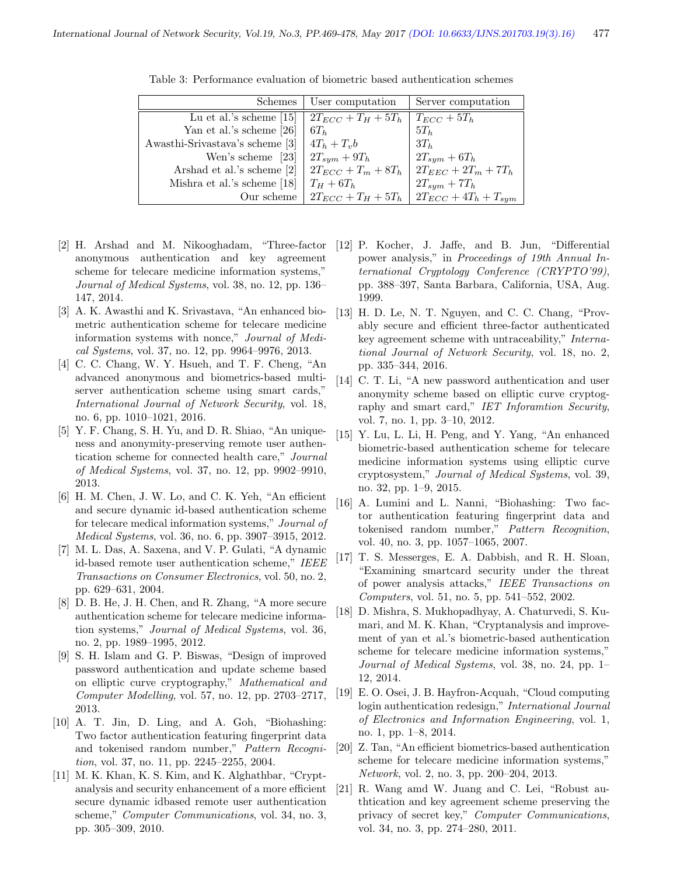| <b>Schemes</b>                  | User computation        | Server computation                                    |
|---------------------------------|-------------------------|-------------------------------------------------------|
| Lu et al.'s scheme $[15]$       | $2T_{ECC} + T_H + 5T_h$ | $T_{ECC} + 5T_h$                                      |
| Yan et al.'s scheme [26]        | $6T_h$                  | $5T_h$                                                |
| Awasthi-Srivastava's scheme [3] | $4T_h + T_v b$          | $3T_h$                                                |
| Wen's scheme [23]               | $2T_{sym}+9T_h$         | $2T_{sym}+6T_h$                                       |
| Arshad et al.'s scheme [2]      | $2T_{ECC} + T_m + 8T_h$ | $2T_{EEC} + 2T_m + 7T_h$                              |
| Mishra et al.'s scheme [18]     | $T_H+6T_h$              | $2T_{sym} + 7T_h$                                     |
| Our scheme                      |                         | $2T_{ECC} + T_H + 5T_h$   $2T_{ECC} + 4T_h + T_{sym}$ |

Table 3: Performance evaluation of biometric based authentication schemes

- anonymous authentication and key agreement scheme for telecare medicine information systems," Journal of Medical Systems, vol. 38, no. 12, pp. 136– 147, 2014.
- [3] A. K. Awasthi and K. Srivastava, "An enhanced biometric authentication scheme for telecare medicine information systems with nonce," Journal of Medical Systems, vol. 37, no. 12, pp. 9964–9976, 2013.
- [4] C. C. Chang, W. Y. Hsueh, and T. F. Cheng, "An advanced anonymous and biometrics-based multiserver authentication scheme using smart cards," International Journal of Network Security, vol. 18, no. 6, pp. 1010–1021, 2016.
- [5] Y. F. Chang, S. H. Yu, and D. R. Shiao, "An uniqueness and anonymity-preserving remote user authentication scheme for connected health care," Journal of Medical Systems, vol. 37, no. 12, pp. 9902–9910, 2013.
- [6] H. M. Chen, J. W. Lo, and C. K. Yeh, "An efficient and secure dynamic id-based authentication scheme for telecare medical information systems," Journal of Medical Systems, vol. 36, no. 6, pp. 3907–3915, 2012.
- [7] M. L. Das, A. Saxena, and V. P. Gulati, "A dynamic id-based remote user authentication scheme," IEEE Transactions on Consumer Electronics, vol. 50, no. 2, pp. 629–631, 2004.
- [8] D. B. He, J. H. Chen, and R. Zhang, "A more secure authentication scheme for telecare medicine information systems," Journal of Medical Systems, vol. 36, no. 2, pp. 1989–1995, 2012.
- [9] S. H. Islam and G. P. Biswas, "Design of improved password authentication and update scheme based on elliptic curve cryptography," Mathematical and Computer Modelling, vol. 57, no. 12, pp. 2703–2717, 2013.
- [10] A. T. Jin, D. Ling, and A. Goh, "Biohashing: Two factor authentication featuring fingerprint data and tokenised random number," Pattern Recognition, vol. 37, no. 11, pp. 2245–2255, 2004.
- [11] M. K. Khan, K. S. Kim, and K. Alghathbar, "Cryptanalysis and security enhancement of a more efficient secure dynamic idbased remote user authentication scheme," Computer Communications, vol. 34, no. 3, pp. 305–309, 2010.
- [2] H. Arshad and M. Nikooghadam, "Three-factor [12] P. Kocher, J. Jaffe, and B. Jun, "Differential power analysis," in Proceedings of 19th Annual International Cryptology Conference (CRYPTO'99), pp. 388–397, Santa Barbara, California, USA, Aug. 1999.
	- [13] H. D. Le, N. T. Nguyen, and C. C. Chang, "Provably secure and efficient three-factor authenticated key agreement scheme with untraceability," International Journal of Network Security, vol. 18, no. 2, pp. 335–344, 2016.
	- [14] C. T. Li, "A new password authentication and user anonymity scheme based on elliptic curve cryptography and smart card," IET Inforamtion Security, vol. 7, no. 1, pp. 3–10, 2012.
	- [15] Y. Lu, L. Li, H. Peng, and Y. Yang, "An enhanced biometric-based authentication scheme for telecare medicine information systems using elliptic curve cryptosystem," Journal of Medical Systems, vol. 39, no. 32, pp. 1–9, 2015.
	- [16] A. Lumini and L. Nanni, "Biohashing: Two factor authentication featuring fingerprint data and tokenised random number," Pattern Recognition, vol. 40, no. 3, pp. 1057–1065, 2007.
	- [17] T. S. Messerges, E. A. Dabbish, and R. H. Sloan, "Examining smartcard security under the threat of power analysis attacks," IEEE Transactions on Computers, vol. 51, no. 5, pp. 541–552, 2002.
	- [18] D. Mishra, S. Mukhopadhyay, A. Chaturvedi, S. Kumari, and M. K. Khan, "Cryptanalysis and improvement of yan et al.'s biometric-based authentication scheme for telecare medicine information systems," Journal of Medical Systems, vol. 38, no. 24, pp. 1– 12, 2014.
	- [19] E. O. Osei, J. B. Hayfron-Acquah, "Cloud computing login authentication redesign," International Journal of Electronics and Information Engineering, vol. 1, no. 1, pp. 1–8, 2014.
	- [20] Z. Tan, "An efficient biometrics-based authentication scheme for telecare medicine information systems," Network, vol. 2, no. 3, pp. 200–204, 2013.
	- [21] R. Wang amd W. Juang and C. Lei, "Robust authtication and key agreement scheme preserving the privacy of secret key," Computer Communications, vol. 34, no. 3, pp. 274–280, 2011.